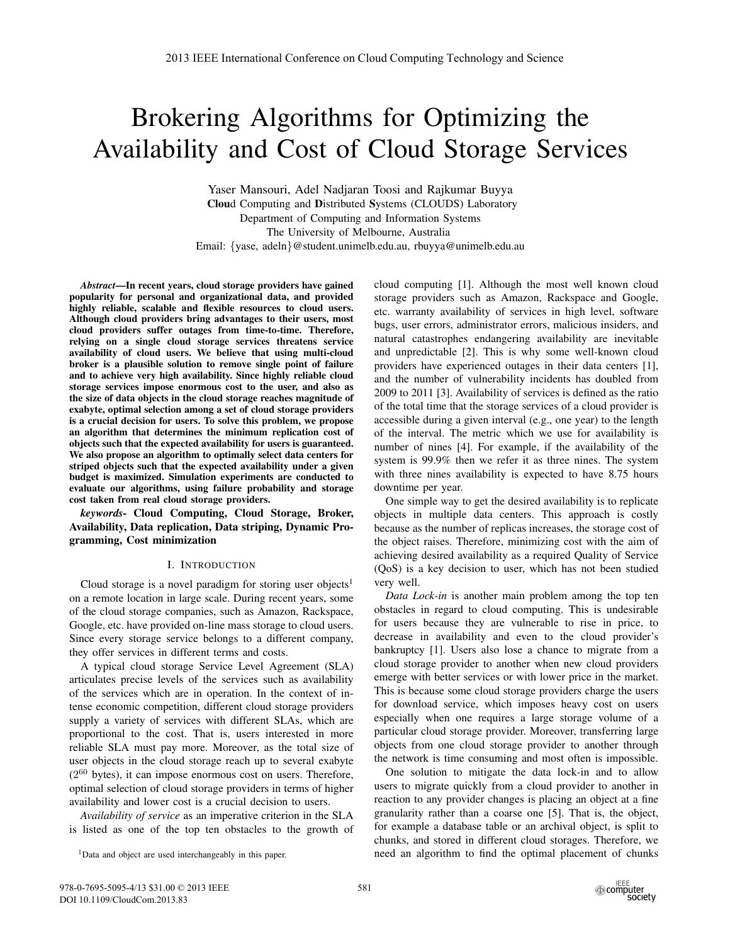# Brokering Algorithms for Optimizing the Availability and Cost of Cloud Storage Services

Yaser Mansouri, Adel Nadjaran Toosi and Rajkumar Buyya Cloud Computing and Distributed Systems (CLOUDS) Laboratory Department of Computing and Information Systems The University of Melbourne, Australia Email: {yase, adeln}@student.unimelb.edu.au, rbuyya@unimelb.edu.au

*Abstract*—In recent years, cloud storage providers have gained popularity for personal and organizational data, and provided highly reliable, scalable and flexible resources to cloud users. Although cloud providers bring advantages to their users, most cloud providers suffer outages from time-to-time. Therefore, relying on a single cloud storage services threatens service availability of cloud users. We believe that using multi-cloud broker is a plausible solution to remove single point of failure and to achieve very high availability. Since highly reliable cloud storage services impose enormous cost to the user, and also as the size of data objects in the cloud storage reaches magnitude of exabyte, optimal selection among a set of cloud storage providers is a crucial decision for users. To solve this problem, we propose an algorithm that determines the minimum replication cost of objects such that the expected availability for users is guaranteed. We also propose an algorithm to optimally select data centers for striped objects such that the expected availability under a given budget is maximized. Simulation experiments are conducted to evaluate our algorithms, using failure probability and storage cost taken from real cloud storage providers.

*keywords-* Cloud Computing, Cloud Storage, Broker, Availability, Data replication, Data striping, Dynamic Programming, Cost minimization

# I. INTRODUCTION

Cloud storage is a novel paradigm for storing user objects<sup>1</sup> on a remote location in large scale. During recent years, some of the cloud storage companies, such as Amazon, Rackspace, Google, etc. have provided on-line mass storage to cloud users. Since every storage service belongs to a different company, they offer services in different terms and costs.

A typical cloud storage Service Level Agreement (SLA) articulates precise levels of the services such as availability of the services which are in operation. In the context of intense economic competition, different cloud storage providers supply a variety of services with different SLAs, which are proportional to the cost. That is, users interested in more reliable SLA must pay more. Moreover, as the total size of user objects in the cloud storage reach up to several exabyte  $(2^{60}$  bytes), it can impose enormous cost on users. Therefore, optimal selection of cloud storage providers in terms of higher availability and lower cost is a crucial decision to users.

*Availability of service* as an imperative criterion in the SLA is listed as one of the top ten obstacles to the growth of cloud computing [1]. Although the most well known cloud storage providers such as Amazon, Rackspace and Google, etc. warranty availability of services in high level, software bugs, user errors, administrator errors, malicious insiders, and natural catastrophes endangering availability are inevitable and unpredictable [2]. This is why some well-known cloud providers have experienced outages in their data centers [1], and the number of vulnerability incidents has doubled from 2009 to 2011 [3]. Availability of services is defined as the ratio of the total time that the storage services of a cloud provider is accessible during a given interval (e.g., one year) to the length of the interval. The metric which we use for availability is number of nines [4]. For example, if the availability of the system is 99.9% then we refer it as three nines. The system with three nines availability is expected to have 8.75 hours downtime per year.

One simple way to get the desired availability is to replicate objects in multiple data centers. This approach is costly because as the number of replicas increases, the storage cost of the object raises. Therefore, minimizing cost with the aim of achieving desired availability as a required Quality of Service (QoS) is a key decision to user, which has not been studied very well.

*Data Lock-in* is another main problem among the top ten obstacles in regard to cloud computing. This is undesirable for users because they are vulnerable to rise in price, to decrease in availability and even to the cloud provider's bankruptcy [1]. Users also lose a chance to migrate from a cloud storage provider to another when new cloud providers emerge with better services or with lower price in the market. This is because some cloud storage providers charge the users for download service, which imposes heavy cost on users especially when one requires a large storage volume of a particular cloud storage provider. Moreover, transferring large objects from one cloud storage provider to another through the network is time consuming and most often is impossible.

One solution to mitigate the data lock-in and to allow users to migrate quickly from a cloud provider to another in reaction to any provider changes is placing an object at a fine granularity rather than a coarse one [5]. That is, the object, for example a database table or an archival object, is split to chunks, and stored in different cloud storages. Therefore, we need an algorithm to find the optimal placement of chunks

<sup>1</sup>Data and object are used interchangeably in this paper.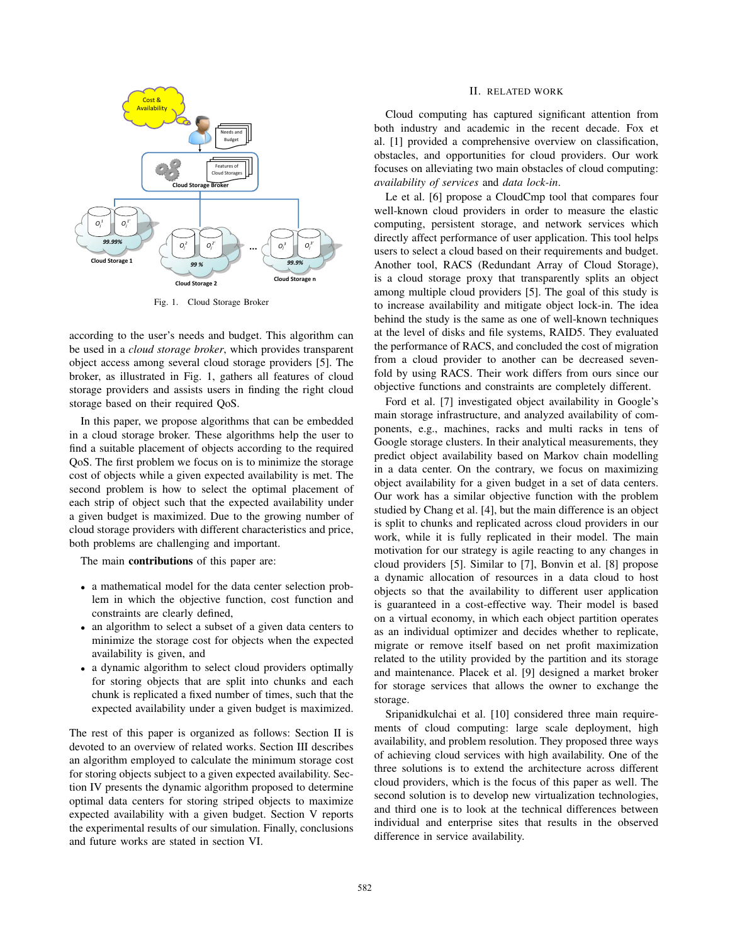

Fig. 1. Cloud Storage Broker

according to the user's needs and budget. This algorithm can be used in a *cloud storage broker*, which provides transparent object access among several cloud storage providers [5]. The broker, as illustrated in Fig. 1, gathers all features of cloud storage providers and assists users in finding the right cloud storage based on their required QoS.

In this paper, we propose algorithms that can be embedded in a cloud storage broker. These algorithms help the user to find a suitable placement of objects according to the required QoS. The first problem we focus on is to minimize the storage cost of objects while a given expected availability is met. The second problem is how to select the optimal placement of each strip of object such that the expected availability under a given budget is maximized. Due to the growing number of cloud storage providers with different characteristics and price, both problems are challenging and important.

The main **contributions** of this paper are:

- a mathematical model for the data center selection problem in which the objective function, cost function and constraints are clearly defined,
- an algorithm to select a subset of a given data centers to minimize the storage cost for objects when the expected availability is given, and
- a dynamic algorithm to select cloud providers optimally for storing objects that are split into chunks and each chunk is replicated a fixed number of times, such that the expected availability under a given budget is maximized.

The rest of this paper is organized as follows: Section II is devoted to an overview of related works. Section III describes an algorithm employed to calculate the minimum storage cost for storing objects subject to a given expected availability. Section IV presents the dynamic algorithm proposed to determine optimal data centers for storing striped objects to maximize expected availability with a given budget. Section V reports the experimental results of our simulation. Finally, conclusions and future works are stated in section VI.

## II. RELATED WORK

Cloud computing has captured significant attention from both industry and academic in the recent decade. Fox et al. [1] provided a comprehensive overview on classification, obstacles, and opportunities for cloud providers. Our work focuses on alleviating two main obstacles of cloud computing: *availability of services* and *data lock-in*.

Le et al. [6] propose a CloudCmp tool that compares four well-known cloud providers in order to measure the elastic computing, persistent storage, and network services which directly affect performance of user application. This tool helps users to select a cloud based on their requirements and budget. Another tool, RACS (Redundant Array of Cloud Storage), is a cloud storage proxy that transparently splits an object among multiple cloud providers [5]. The goal of this study is to increase availability and mitigate object lock-in. The idea behind the study is the same as one of well-known techniques at the level of disks and file systems, RAID5. They evaluated the performance of RACS, and concluded the cost of migration from a cloud provider to another can be decreased sevenfold by using RACS. Their work differs from ours since our objective functions and constraints are completely different.

Ford et al. [7] investigated object availability in Google's main storage infrastructure, and analyzed availability of components, e.g., machines, racks and multi racks in tens of Google storage clusters. In their analytical measurements, they predict object availability based on Markov chain modelling in a data center. On the contrary, we focus on maximizing object availability for a given budget in a set of data centers. Our work has a similar objective function with the problem studied by Chang et al. [4], but the main difference is an object is split to chunks and replicated across cloud providers in our work, while it is fully replicated in their model. The main motivation for our strategy is agile reacting to any changes in cloud providers [5]. Similar to [7], Bonvin et al. [8] propose a dynamic allocation of resources in a data cloud to host objects so that the availability to different user application is guaranteed in a cost-effective way. Their model is based on a virtual economy, in which each object partition operates as an individual optimizer and decides whether to replicate, migrate or remove itself based on net profit maximization related to the utility provided by the partition and its storage and maintenance. Placek et al. [9] designed a market broker for storage services that allows the owner to exchange the storage.

Sripanidkulchai et al. [10] considered three main requirements of cloud computing: large scale deployment, high availability, and problem resolution. They proposed three ways of achieving cloud services with high availability. One of the three solutions is to extend the architecture across different cloud providers, which is the focus of this paper as well. The second solution is to develop new virtualization technologies, and third one is to look at the technical differences between individual and enterprise sites that results in the observed difference in service availability.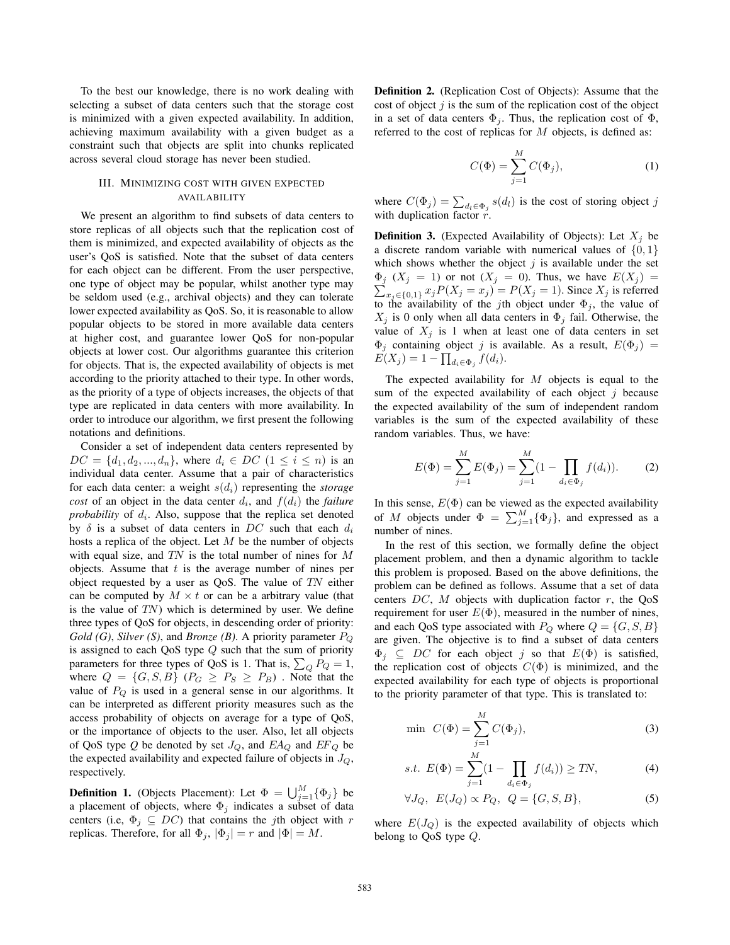To the best our knowledge, there is no work dealing with selecting a subset of data centers such that the storage cost is minimized with a given expected availability. In addition, achieving maximum availability with a given budget as a constraint such that objects are split into chunks replicated across several cloud storage has never been studied.

# III. MINIMIZING COST WITH GIVEN EXPECTED AVAILABILITY

We present an algorithm to find subsets of data centers to store replicas of all objects such that the replication cost of them is minimized, and expected availability of objects as the user's QoS is satisfied. Note that the subset of data centers for each object can be different. From the user perspective, one type of object may be popular, whilst another type may be seldom used (e.g., archival objects) and they can tolerate lower expected availability as QoS. So, it is reasonable to allow popular objects to be stored in more available data centers at higher cost, and guarantee lower QoS for non-popular objects at lower cost. Our algorithms guarantee this criterion for objects. That is, the expected availability of objects is met according to the priority attached to their type. In other words, as the priority of a type of objects increases, the objects of that type are replicated in data centers with more availability. In order to introduce our algorithm, we first present the following notations and definitions.

Consider a set of independent data centers represented by  $DC = \{d_1, d_2, ..., d_n\}$ , where  $d_i \in DC$   $(1 \leq i \leq n)$  is an individual data center. Assume that a pair of characteristics for each data center: a weight s(d*i*) representing the *storage cost* of an object in the data center  $d_i$ , and  $f(d_i)$  the *failure probability* of  $d_i$ . Also, suppose that the replica set denoted by  $\delta$  is a subset of data centers in  $DC$  such that each  $d_i$ hosts a replica of the object. Let  $M$  be the number of objects with equal size, and  $TN$  is the total number of nines for  $M$ objects. Assume that  $t$  is the average number of nines per object requested by a user as QoS. The value of TN either can be computed by  $M \times t$  or can be a arbitrary value (that is the value of TN) which is determined by user. We define three types of QoS for objects, in descending order of priority: *Gold (G)*, *Silver (S)*, and *Bronze (B)*. A priority parameter P*<sup>Q</sup>* is assigned to each QoS type  $Q$  such that the sum of priority parameters for three types of QoS is 1. That is,  $\sum_{Q} P_{Q} = 1$ , where  $Q = \{G, S, B\}$  ( $P_G \geq P_S \geq P_B$ ). Note that the value of P*<sup>Q</sup>* is used in a general sense in our algorithms. It can be interpreted as different priority measures such as the access probability of objects on average for a type of QoS, or the importance of objects to the user. Also, let all objects of QoS type Q be denoted by set  $J_Q$ , and  $EA_Q$  and  $EF_Q$  be the expected availability and expected failure of objects in J*Q*, respectively.

**Definition 1.** (Objects Placement): Let  $\Phi = \bigcup_{j=1}^{M} {\{\Phi_j\}}$  be a placement of objects, where  $\Phi_j$  indicates a subset of data centers (i.e,  $\Phi_j \subseteq DC$ ) that contains the *j*th object with r replicas. Therefore, for all  $\Phi_j$ ,  $|\Phi_j| = r$  and  $|\Phi| = M$ .

Definition 2. (Replication Cost of Objects): Assume that the cost of object  $j$  is the sum of the replication cost of the object in a set of data centers  $\Phi_i$ . Thus, the replication cost of  $\Phi$ , referred to the cost of replicas for  $M$  objects, is defined as:

$$
C(\Phi) = \sum_{j=1}^{M} C(\Phi_j),\tag{1}
$$

where  $C(\Phi_j) = \sum_{d_l \in \Phi_j} s(d_l)$  is the cost of storing object j with duplication factor  $\dot{r}$ .

**Definition 3.** (Expected Availability of Objects): Let  $X_i$  be a discrete random variable with numerical values of  $\{0, 1\}$ which shows whether the object  $j$  is available under the set Φ  $\Phi_j$  ( $X_j = 1$ ) or not ( $X_j = 0$ ). Thus, we have  $E(X_j) = \sum_{x_i \in \{0, 1\}} x_j P(X_j = x_j) = P(X_j = 1)$ . Since  $X_j$  is referred  $x_j ∈ {0,1}$   $x_jP(X_j = x_j) = P(X_j = 1)$ . Since  $X_j$  is referred to the availability of the *j*th object under  $\Phi_j$ , the value of  $X_j$  is 0 only when all data centers in  $\Phi_j$  fail. Otherwise, the value of  $X_j$  is 1 when at least one of data centers in set  $\Phi_j$  containing object j is available. As a result,  $E(\Phi_j)$  =  $E(X_j) = 1 - \prod_{d_i \in \Phi_j} f(d_i).$ 

The expected availability for  $M$  objects is equal to the sum of the expected availability of each object  $j$  because the expected availability of the sum of independent random variables is the sum of the expected availability of these random variables. Thus, we have:

$$
E(\Phi) = \sum_{j=1}^{M} E(\Phi_j) = \sum_{j=1}^{M} (1 - \prod_{d_i \in \Phi_j} f(d_i)).
$$
 (2)

In this sense,  $E(\Phi)$  can be viewed as the expected availability of M objects under  $\Phi = \sum_{j=1}^{M} {\Phi_j}$ , and expressed as a number of nines.

In the rest of this section, we formally define the object placement problem, and then a dynamic algorithm to tackle this problem is proposed. Based on the above definitions, the problem can be defined as follows. Assume that a set of data centers  $DC$ , M objects with duplication factor r, the QoS requirement for user  $E(\Phi)$ , measured in the number of nines, and each QoS type associated with  $P_Q$  where  $Q = \{G, S, B\}$ are given. The objective is to find a subset of data centers  $\Phi_j \subseteq DC$  for each object j so that  $E(\Phi)$  is satisfied, the replication cost of objects  $C(\Phi)$  is minimized, and the expected availability for each type of objects is proportional to the priority parameter of that type. This is translated to:

$$
\min \ C(\Phi) = \sum_{j=1}^{M} C(\Phi_j),\tag{3}
$$

s.t. 
$$
E(\Phi) = \sum_{j=1}^{M} (1 - \prod_{d_i \in \Phi_j} f(d_i)) \geq TN,
$$
 (4)

$$
\forall J_Q, \ E(J_Q) \propto P_Q, \ Q = \{G, S, B\},\tag{5}
$$

where  $E(J_Q)$  is the expected availability of objects which belong to  $Q$ oS type  $Q$ .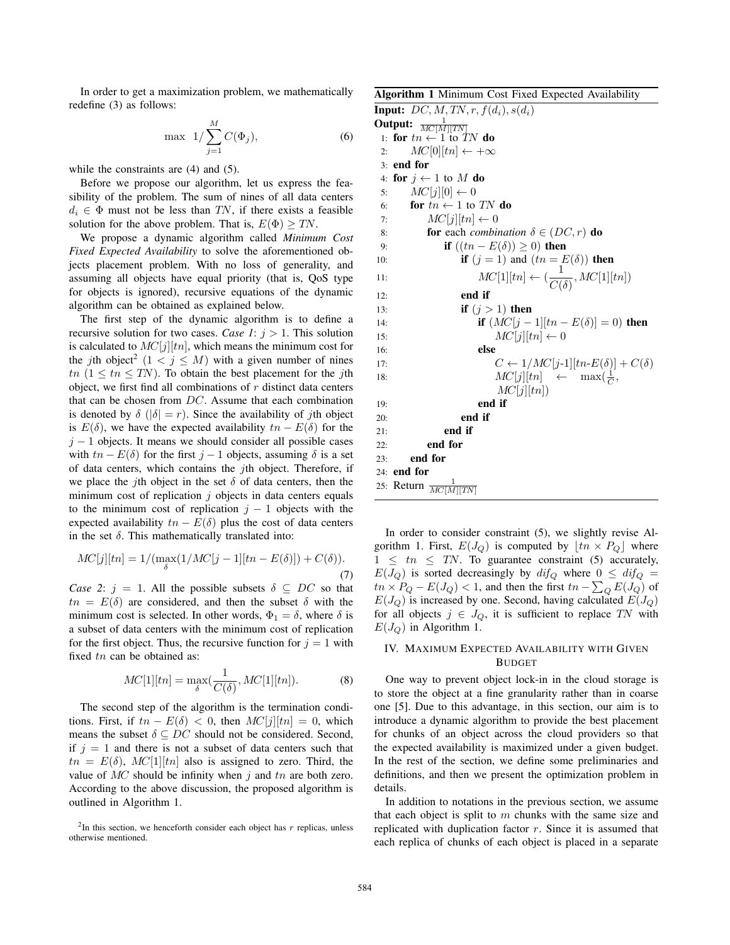In order to get a maximization problem, we mathematically redefine (3) as follows:

max 
$$
1/\sum_{j=1}^{M} C(\Phi_j)
$$
, (6)

while the constraints are  $(4)$  and  $(5)$ .

Before we propose our algorithm, let us express the feasibility of the problem. The sum of nines of all data centers  $d_i \in \Phi$  must not be less than TN, if there exists a feasible solution for the above problem. That is,  $E(\Phi) \geq TN$ .

We propose a dynamic algorithm called *Minimum Cost Fixed Expected Availability* to solve the aforementioned objects placement problem. With no loss of generality, and assuming all objects have equal priority (that is, QoS type for objects is ignored), recursive equations of the dynamic algorithm can be obtained as explained below.

The first step of the dynamic algorithm is to define a recursive solution for two cases. *Case 1*:  $j > 1$ . This solution is calculated to  $MC[j][tn]$ , which means the minimum cost for the jth object<sup>2</sup> ( $1 < j \leq M$ ) with a given number of nines tn  $(1 \leq tn \leq TN)$ . To obtain the best placement for the jth object, we first find all combinations of  $r$  distinct data centers that can be chosen from DC. Assume that each combination is denoted by  $\delta$  ( $|\delta| = r$ ). Since the availability of jth object is  $E(\delta)$ , we have the expected availability  $tn - E(\delta)$  for the  $j - 1$  objects. It means we should consider all possible cases with  $tn - E(\delta)$  for the first  $j - 1$  objects, assuming  $\delta$  is a set of data centers, which contains the  $i$ th object. Therefore, if we place the *j*th object in the set  $\delta$  of data centers, then the minimum cost of replication  $j$  objects in data centers equals to the minimum cost of replication  $j - 1$  objects with the expected availability  $tn - E(\delta)$  plus the cost of data centers in the set  $\delta$ . This mathematically translated into:

$$
MC[j][tn] = 1/(\max_{\delta} (1/MC[j-1][tn - E(\delta)]) + C(\delta)).
$$
\n(7)

*Case 2*:  $j = 1$ . All the possible subsets  $\delta \subseteq DC$  so that  $tn = E(\delta)$  are considered, and then the subset  $\delta$  with the minimum cost is selected. In other words,  $\Phi_1 = \delta$ , where  $\delta$  is a subset of data centers with the minimum cost of replication for the first object. Thus, the recursive function for  $j = 1$  with fixed  $tn$  can be obtained as:

$$
MC[1][tn] = \max_{\delta}(\frac{1}{C(\delta)}, MC[1][tn]). \tag{8}
$$

The second step of the algorithm is the termination conditions. First, if  $tn - E(\delta) < 0$ , then  $MC[j][tn] = 0$ , which means the subset  $\delta \subseteq DC$  should not be considered. Second, if  $j = 1$  and there is not a subset of data centers such that  $tn = E(\delta)$ ,  $MC[1][tn]$  also is assigned to zero. Third, the value of  $MC$  should be infinity when j and tn are both zero. According to the above discussion, the proposed algorithm is outlined in Algorithm 1.

| Algorithm 1 Minimum Cost Fixed Expected Availability                                                       |
|------------------------------------------------------------------------------------------------------------|
| Input: $DC, M, TN, r, f(d_i), s(d_i)$                                                                      |
| <b>Output:</b> $\frac{1}{MC[M][TN]}$<br>1: for $tn \leftarrow 1$ to TN do                                  |
|                                                                                                            |
| $MC[0][tn] \leftarrow +\infty$<br>2:                                                                       |
| $3:$ end for                                                                                               |
| for $j \leftarrow 1$ to M do<br>4:                                                                         |
| $MC[j][0] \leftarrow 0$<br>5:                                                                              |
| for $tn \leftarrow 1$ to TN do<br>6:                                                                       |
| $MC[j][tn] \leftarrow 0$<br>7:                                                                             |
| <b>for</b> each <i>combination</i> $\delta \in (DC, r)$ <b>do</b><br>8:                                    |
| if $((tn - E(\delta)) \geq 0)$ then<br>9:                                                                  |
| 10:                                                                                                        |
| if $(j = 1)$ and $(in = E(\delta))$ then<br>$MC[1][tn] \leftarrow (\frac{1}{C(\delta)}, MC[1][tn])$<br>11: |
| end if<br>12:                                                                                              |
| if $(j > 1)$ then<br>13:                                                                                   |
| <b>if</b> $(MC[j-1][tn - E(\delta)] = 0)$ then<br>14:                                                      |
| $MC[i][tn] \leftarrow 0$<br>15:                                                                            |
| else<br>16:                                                                                                |
| $C \leftarrow 1/MC[j-1][tn-E(\delta)] + C(\delta)$<br>17:                                                  |
| $MC[j][tn] \leftarrow \max(\frac{1}{C},$<br>18:                                                            |
| MC[j][tn])                                                                                                 |
| end if<br>19:                                                                                              |
| end if<br>20:                                                                                              |
| end if<br>21:                                                                                              |
| end for<br>22:                                                                                             |
| end for<br>23:                                                                                             |
| $24:$ end for                                                                                              |
| 25: Return $\frac{1}{MC[M][TN]}$                                                                           |

In order to consider constraint (5), we slightly revise Algorithm 1. First,  $E(J_Q)$  is computed by  $\lfloor tn \times P_Q \rfloor$  where  $1 \leq tn \leq TN$ . To guarantee constraint (5) accurately,  $E(J_Q)$  is sorted decreasingly by  $dif_Q$  where  $0 \leq dif_Q =$  $t_n \times P_Q - E(J_Q) < 1$ , and then the first  $t_n - \sum_Q E(J_Q)$  of  $E(J_Q)$  is increased by one. Second, having calculated  $E(J_Q)$ for all objects  $j \in J_Q$ , it is sufficient to replace TN with  $E(J<sub>O</sub>)$  in Algorithm 1.

# IV. MAXIMUM EXPECTED AVAILABILITY WITH GIVEN **BUDGET**

One way to prevent object lock-in in the cloud storage is to store the object at a fine granularity rather than in coarse one [5]. Due to this advantage, in this section, our aim is to introduce a dynamic algorithm to provide the best placement for chunks of an object across the cloud providers so that the expected availability is maximized under a given budget. In the rest of the section, we define some preliminaries and definitions, and then we present the optimization problem in details.

In addition to notations in the previous section, we assume that each object is split to  $m$  chunks with the same size and replicated with duplication factor  $r$ . Since it is assumed that each replica of chunks of each object is placed in a separate

 $2$ In this section, we henceforth consider each object has r replicas, unless otherwise mentioned.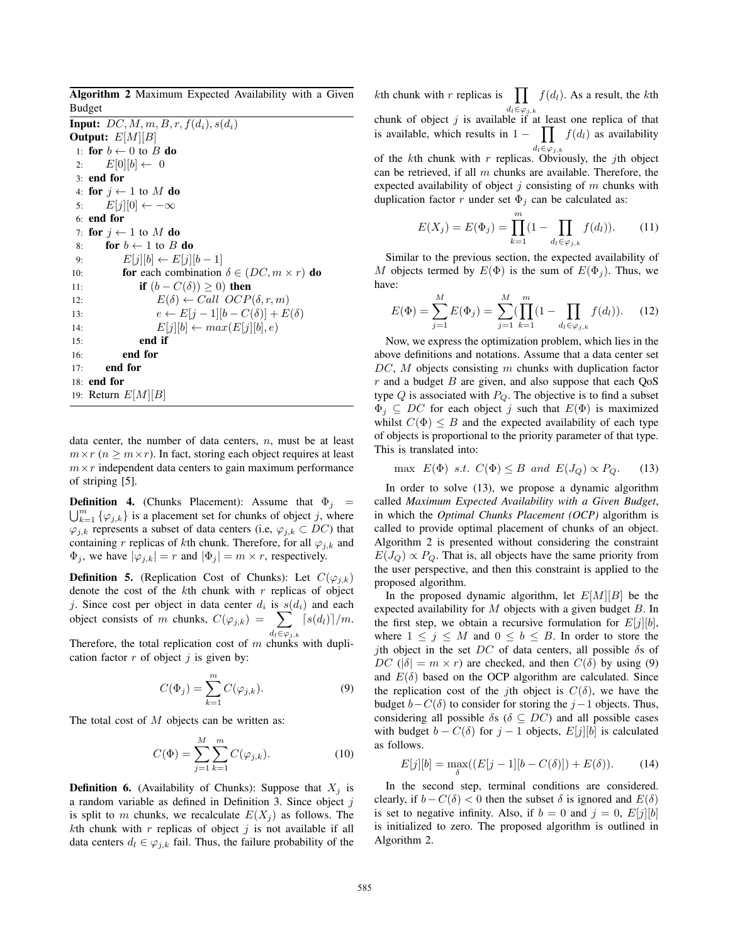Algorithm 2 Maximum Expected Availability with a Given Budget

**Input:**  $DC, M, m, B, r, f(d_i), s(d_i)$ Output:  $E[M][B]$ 1: for  $b \leftarrow 0$  to B do 2:  $E[0][b] \leftarrow 0$ 3: end for 4: for  $j \leftarrow 1$  to M do 5:  $E[j][0] \leftarrow -\infty$ 6: end for 7: for  $j \leftarrow 1$  to M do 8: **for**  $b \leftarrow 1$  to B **do** 9:  $E[j][b] \leftarrow E[j][b-1]$ 10: **for** each combination  $\delta \in (DC, m \times r)$  **do** 11: **if**  $(b - C(\delta)) > 0$  then 12:  $E(\delta) \leftarrow Call \ OCP(\delta, r, m)$ 13:  $e \leftarrow E[j-1][b - C(\delta)] + E(\delta)$ 14:  $E[j][b] \leftarrow max(E[j][b], e)$ 15: end if 16: end for 17: end for 18: end for 19: Return  $E[M][B]$ 

data center, the number of data centers,  $n$ , must be at least  $m \times r$  ( $n \geq m \times r$ ). In fact, storing each object requires at least  $m \times r$  independent data centers to gain maximum performance of striping [5].

**Definition 4.** (Chunks Placement): Assume that  $\Phi_j$  =  $\bigcup_{k=1}^{m} {\varphi_{j,k}}$  is a placement set for chunks of object j, where  $\varphi_{j,k}$  represents a subset of data centers (i.e,  $\varphi_{j,k} \subset DC$ ) that containing r replicas of kth chunk. Therefore, for all  $\varphi_{j,k}$  and  $\Phi_j$ , we have  $|\varphi_{j,k}| = r$  and  $|\Phi_j| = m \times r$ , respectively.

**Definition 5.** (Replication Cost of Chunks): Let  $C(\varphi_{j,k})$ denote the cost of the  $k$ th chunk with  $r$  replicas of object j. Since cost per object in data center  $d_i$  is  $s(d_i)$  and each object consists of m chunks,  $C(\varphi_{j,k}) = \sum_{k=1}^{k}$ *dl*∈*ϕj,k*  $[s(d_l)]/m$ .

Therefore, the total replication cost of  $m$  chunks with duplication factor  $r$  of object  $j$  is given by:

$$
C(\Phi_j) = \sum_{k=1}^{m} C(\varphi_{j,k}).
$$
\n(9)

The total cost of  $M$  objects can be written as:

$$
C(\Phi) = \sum_{j=1}^{M} \sum_{k=1}^{m} C(\varphi_{j,k}).
$$
 (10)

**Definition 6.** (Availability of Chunks): Suppose that  $X_i$  is a random variable as defined in Definition 3. Since object  $j$ is split to m chunks, we recalculate  $E(X_i)$  as follows. The kth chunk with  $r$  replicas of object  $j$  is not available if all data centers  $d_l \in \varphi_{j,k}$  fail. Thus, the failure probability of the

kth chunk with r replicas is  $\prod f(d_l)$ . As a result, the kth chunk of object *j* is available if at least one replica of that is available, which results in  $1 - \prod f(d_l)$  as availability of the kth chunk with r replicas. Obviously, the *j*th object can be retrieved, if all  $m$  chunks are available. Therefore, the expected availability of object j consisting of m chunks with duplication factor r under set  $\Phi_j$  can be calculated as:

$$
E(X_j) = E(\Phi_j) = \prod_{k=1}^{m} (1 - \prod_{d_l \in \varphi_{j,k}} f(d_l)).
$$
 (11)

Similar to the previous section, the expected availability of M objects termed by  $E(\Phi)$  is the sum of  $E(\Phi_i)$ . Thus, we have:

$$
E(\Phi) = \sum_{j=1}^{M} E(\Phi_j) = \sum_{j=1}^{M} \left(\prod_{k=1}^{m} (1 - \prod_{d_l \in \varphi_{j,k}} f(d_l)\right). \tag{12}
$$

Now, we express the optimization problem, which lies in the above definitions and notations. Assume that a data center set  $DC$ , M objects consisting m chunks with duplication factor  $r$  and a budget  $B$  are given, and also suppose that each QoS type Q is associated with P*Q*. The objective is to find a subset  $\Phi_j \subseteq DC$  for each object j such that  $E(\Phi)$  is maximized whilst  $C(\Phi) \leq B$  and the expected availability of each type of objects is proportional to the priority parameter of that type. This is translated into:

$$
\max \ E(\Phi) \ s.t. \ C(\Phi) \le B \ and \ E(J_Q) \propto P_Q. \tag{13}
$$

In order to solve (13), we propose a dynamic algorithm called *Maximum Expected Availability with a Given Budget*, in which the *Optimal Chunks Placement (OCP)* algorithm is called to provide optimal placement of chunks of an object. Algorithm 2 is presented without considering the constraint  $E(J_Q) \propto P_Q$ . That is, all objects have the same priority from the user perspective, and then this constraint is applied to the proposed algorithm.

In the proposed dynamic algorithm, let  $E[M][B]$  be the expected availability for  $M$  objects with a given budget  $B$ . In the first step, we obtain a recursive formulation for  $E[j][b]$ , where  $1 \leq j \leq M$  and  $0 \leq b \leq B$ . In order to store the jth object in the set  $DC$  of data centers, all possible  $\delta s$  of  $DC$  ( $|\delta| = m \times r$ ) are checked, and then  $C(\delta)$  by using (9) and  $E(\delta)$  based on the OCP algorithm are calculated. Since the replication cost of the jth object is  $C(\delta)$ , we have the budget  $b-C(\delta)$  to consider for storing the  $j-1$  objects. Thus, considering all possible  $\delta s$  ( $\delta \subseteq DC$ ) and all possible cases with budget  $b - C(\delta)$  for  $j - 1$  objects,  $E[j][b]$  is calculated as follows.

$$
E[j][b] = \max_{\delta}((E[j-1][b - C(\delta)]) + E(\delta)).
$$
 (14)

In the second step, terminal conditions are considered. clearly, if  $b - C(\delta) < 0$  then the subset  $\delta$  is ignored and  $E(\delta)$ is set to negative infinity. Also, if  $b = 0$  and  $j = 0$ ,  $E[j][b]$ is initialized to zero. The proposed algorithm is outlined in Algorithm 2.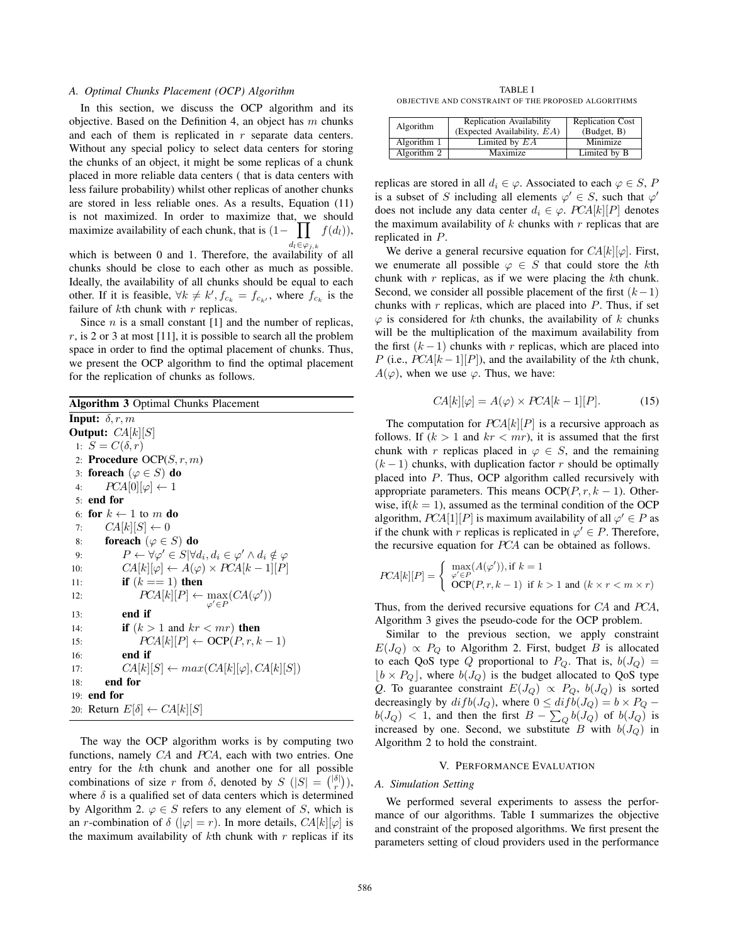# *A. Optimal Chunks Placement (OCP) Algorithm*

In this section, we discuss the OCP algorithm and its objective. Based on the Definition 4, an object has  $m$  chunks and each of them is replicated in  $r$  separate data centers. Without any special policy to select data centers for storing the chunks of an object, it might be some replicas of a chunk placed in more reliable data centers ( that is data centers with less failure probability) whilst other replicas of another chunks are stored in less reliable ones. As a results, Equation (11) is not maximized. In order to maximize that, we should maximize availability of each chunk, that is  $(1 - \prod f(d_l))$ , *dl*∈*ϕj,k* which is between 0 and 1. Therefore, the availability of all

chunks should be close to each other as much as possible. Ideally, the availability of all chunks should be equal to each other. If it is feasible,  $\forall k \neq k', f_{c_k} = f_{c_{k'}}$ , where  $f_{c_k}$  is the failure of  $k$ th chunk with  $r$  replicas.

Since  $n$  is a small constant [1] and the number of replicas,  $r$ , is 2 or 3 at most [11], it is possible to search all the problem space in order to find the optimal placement of chunks. Thus, we present the OCP algorithm to find the optimal placement for the replication of chunks as follows.

**Input:**  $\delta$ , r, m Output:  $CA[k][S]$ 1:  $S = C(\delta, r)$ 2: Procedure  $OCP(S, r, m)$ 3: foreach ( $\varphi \in S$ ) do 4:  $PCA[0][\varphi] \leftarrow 1$ 5: end for 6: for  $k \leftarrow 1$  to m do 7:  $CA[k][S] \leftarrow 0$ 8: foreach ( $\varphi \in S$ ) do 9:  $P \leftarrow \forall \varphi' \in S | \forall d_i, d_i \in \varphi' \land d_i \notin \varphi$ 10:  $CA[k][\varphi] \leftarrow A(\varphi) \times PCA[k-1][P]$ 11: **if**  $(k == 1)$  **then** 12:  $PCA[k][P] \leftarrow \max_{\varphi' \in P} (CA(\varphi'))$ 13: end if 14: **if**  $(k > 1$  and  $kr < mr$  then 15:  $PCA[k][P] \leftarrow OCP(P, r, k-1)$ 16: end if 17:  $CA[k][S] \leftarrow max(CA[k][\varphi], CA[k][S])$ 18: end for 19: end for 20: Return  $E[\delta] \leftarrow CA[k][S]$ 

The way the OCP algorithm works is by computing two functions, namely CA and PCA, each with two entries. One entry for the kth chunk and another one for all possible combinations of size r from  $\delta$ , denoted by  $S([S] = \binom{|\delta|}{r}$ , where  $\delta$  is a qualified set of data centers which is determined by Algorithm 2.  $\varphi \in S$  refers to any element of S, which is an *r*-combination of  $\delta$  ( $|\varphi| = r$ ). In more details,  $CA[k][\varphi]$  is the maximum availability of  $k$ th chunk with  $r$  replicas if its

TABLE I OBJECTIVE AND CONSTRAINT OF THE PROPOSED ALGORITHMS

|             | Replication Availability       | <b>Replication Cost</b> |  |
|-------------|--------------------------------|-------------------------|--|
| Algorithm   | (Expected Availability, $EA$ ) | (Budget, B)             |  |
| Algorithm 1 | Limited by $EA$                | Minimize                |  |
| Algorithm 2 | Maximize                       | Limited by B            |  |

replicas are stored in all  $d_i \in \varphi$ . Associated to each  $\varphi \in S$ , P is a subset of S including all elements  $\varphi' \in S$ , such that  $\varphi'$ does not include any data center  $d_i \in \varphi$ .  $PCA[k][P]$  denotes the maximum availability of  $k$  chunks with  $r$  replicas that are replicated in P.

We derive a general recursive equation for  $CA[k][\varphi]$ . First, we enumerate all possible  $\varphi \in S$  that could store the kth chunk with  $r$  replicas, as if we were placing the  $k$ th chunk. Second, we consider all possible placement of the first  $(k-1)$ chunks with  $r$  replicas, which are placed into  $P$ . Thus, if set  $\varphi$  is considered for kth chunks, the availability of k chunks will be the multiplication of the maximum availability from the first  $(k - 1)$  chunks with r replicas, which are placed into P (i.e.,  $PCA[k-1][P]$ ), and the availability of the kth chunk,  $A(\varphi)$ , when we use  $\varphi$ . Thus, we have:

$$
CA[k][\varphi] = A(\varphi) \times PCA[k-1][P]. \tag{15}
$$

The computation for  $PCA[k][P]$  is a recursive approach as follows. If  $(k > 1$  and  $kr < mr$ ), it is assumed that the first chunk with r replicas placed in  $\varphi \in S$ , and the remaining  $(k-1)$  chunks, with duplication factor r should be optimally placed into P. Thus, OCP algorithm called recursively with appropriate parameters. This means  $OCP(P, r, k - 1)$ . Otherwise, if  $(k = 1)$ , assumed as the terminal condition of the OCP algorithm,  $PCA[1][P]$  is maximum availability of all  $\varphi' \in P$  as if the chunk with r replicas is replicated in  $\varphi' \in P$ . Therefore, the recursive equation for PCA can be obtained as follows.

$$
PCA[k][P] = \left\{ \begin{array}{l} \max\limits_{\varphi' \in P} (A(\varphi')), \mbox{if $k=1$}\\ \mbox{OCP}(P,r,k-1) \mbox{ if $k>1$ and $(k \times r < m \times r)$} \end{array} \right.
$$

Thus, from the derived recursive equations for CA and PCA, Algorithm 3 gives the pseudo-code for the OCP problem.

Similar to the previous section, we apply constraint  $E(J_Q) \propto P_Q$  to Algorithm 2. First, budget B is allocated to each QoS type Q proportional to  $P_Q$ . That is,  $b(J_Q)$  =  $|b \times P_Q|$ , where  $b(J_Q)$  is the budget allocated to QoS type *Q*. To guarantee constraint  $E(J_Q) \propto P_Q$ ,  $b(J_Q)$  is sorted decreasingly by  $diffb(J_Q)$ , where  $0 \leq diffb(J_Q) = b \times P_Q$  −  $b(J_Q)$  < 1, and then the first  $B - \sum_Q b(J_Q)$  of  $b(J_Q)$  is increased by one. Second, we substitute B with  $b(J_Q)$  in Algorithm 2 to hold the constraint.

## V. PERFORMANCE EVALUATION

#### *A. Simulation Setting*

We performed several experiments to assess the performance of our algorithms. Table I summarizes the objective and constraint of the proposed algorithms. We first present the parameters setting of cloud providers used in the performance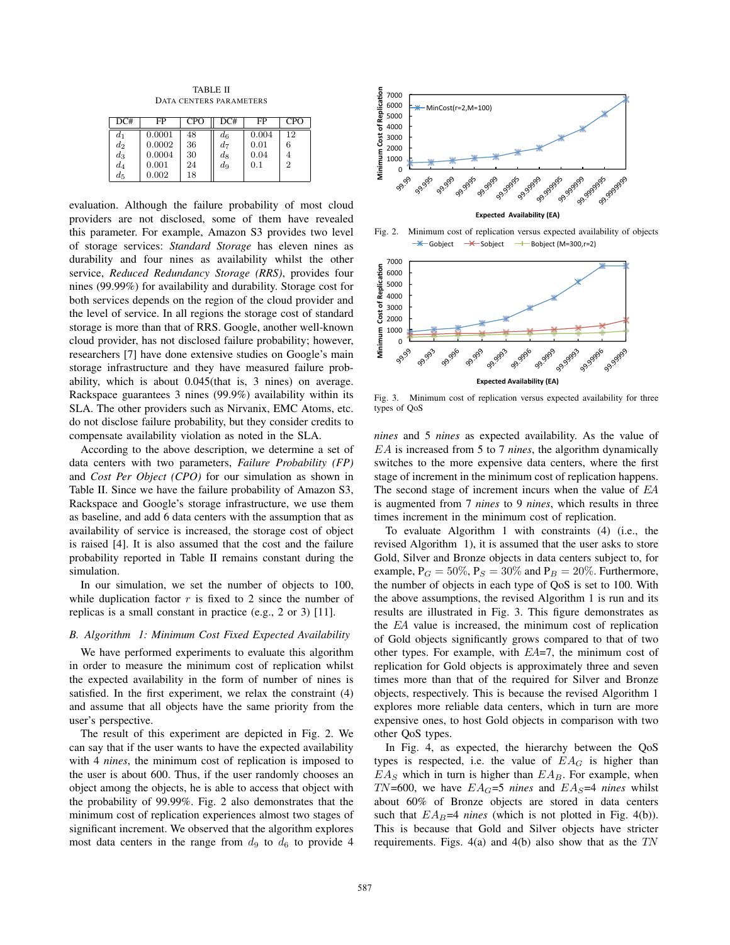TABLE II DATA CENTERS PARAMETERS

| DC#   | FP     | <b>CPO</b> | DC#     | FP    | <b>CPO</b>     |
|-------|--------|------------|---------|-------|----------------|
| $d_1$ | 0.0001 | 48         | $d_6$   | 0.004 | 12             |
| $d_2$ | 0.0002 | 36         | $d_7$   | 0.01  | 6              |
| $d_3$ | 0.0004 | 30         | $d_8$   | 0.04  |                |
| $d_4$ | 0.001  | 24         | $d_{9}$ | 0.1   | $\overline{2}$ |
| $d_5$ | 0.002  | 18         |         |       |                |

evaluation. Although the failure probability of most cloud providers are not disclosed, some of them have revealed this parameter. For example, Amazon S3 provides two level of storage services: *Standard Storage* has eleven nines as durability and four nines as availability whilst the other service, *Reduced Redundancy Storage (RRS)*, provides four nines (99.99%) for availability and durability. Storage cost for both services depends on the region of the cloud provider and the level of service. In all regions the storage cost of standard storage is more than that of RRS. Google, another well-known cloud provider, has not disclosed failure probability; however, researchers [7] have done extensive studies on Google's main storage infrastructure and they have measured failure probability, which is about 0.045(that is, 3 nines) on average. Rackspace guarantees 3 nines (99.9%) availability within its SLA. The other providers such as Nirvanix, EMC Atoms, etc. do not disclose failure probability, but they consider credits to compensate availability violation as noted in the SLA.

According to the above description, we determine a set of data centers with two parameters, *Failure Probability (FP)* and *Cost Per Object (CPO)* for our simulation as shown in Table II. Since we have the failure probability of Amazon S3, Rackspace and Google's storage infrastructure, we use them as baseline, and add 6 data centers with the assumption that as availability of service is increased, the storage cost of object is raised [4]. It is also assumed that the cost and the failure probability reported in Table II remains constant during the simulation.

In our simulation, we set the number of objects to 100, while duplication factor  $r$  is fixed to 2 since the number of replicas is a small constant in practice (e.g., 2 or 3) [11].

## *B. Algorithm 1: Minimum Cost Fixed Expected Availability*

We have performed experiments to evaluate this algorithm in order to measure the minimum cost of replication whilst the expected availability in the form of number of nines is satisfied. In the first experiment, we relax the constraint (4) and assume that all objects have the same priority from the user's perspective.

The result of this experiment are depicted in Fig. 2. We can say that if the user wants to have the expected availability with 4 *nines*, the minimum cost of replication is imposed to the user is about 600. Thus, if the user randomly chooses an object among the objects, he is able to access that object with the probability of 99.99%. Fig. 2 also demonstrates that the minimum cost of replication experiences almost two stages of significant increment. We observed that the algorithm explores most data centers in the range from  $d_9$  to  $d_6$  to provide 4



Fig. 2. Minimum cost of replication versus expected availability of objects  $\frac{1}{2}$  Gobiect  $\rightarrow$  Sobiect bject - Bobject (M=300,r=2)



Fig. 3. Minimum cost of replication versus expected availability for three types of QoS

*nines* and 5 *nines* as expected availability. As the value of EA is increased from 5 to 7 *nines*, the algorithm dynamically switches to the more expensive data centers, where the first stage of increment in the minimum cost of replication happens. The second stage of increment incurs when the value of EA is augmented from 7 *nines* to 9 *nines*, which results in three times increment in the minimum cost of replication.

To evaluate Algorithm 1 with constraints (4) (i.e., the revised Algorithm 1), it is assumed that the user asks to store Gold, Silver and Bronze objects in data centers subject to, for example,  $P_G = 50\%, P_S = 30\%$  and  $P_B = 20\%$ . Furthermore, the number of objects in each type of QoS is set to 100. With the above assumptions, the revised Algorithm 1 is run and its results are illustrated in Fig. 3. This figure demonstrates as the EA value is increased, the minimum cost of replication of Gold objects significantly grows compared to that of two other types. For example, with  $EA=7$ , the minimum cost of replication for Gold objects is approximately three and seven times more than that of the required for Silver and Bronze objects, respectively. This is because the revised Algorithm 1 explores more reliable data centers, which in turn are more expensive ones, to host Gold objects in comparison with two other QoS types.

In Fig. 4, as expected, the hierarchy between the QoS types is respected, i.e. the value of  $EA_G$  is higher than  $EA<sub>S</sub>$  which in turn is higher than  $EA<sub>B</sub>$ . For example, when TN=600, we have  $EA_G=5$  *nines* and  $EA_S=4$  *nines* whilst about 60% of Bronze objects are stored in data centers such that  $EA_B=4$  *nines* (which is not plotted in Fig. 4(b)). This is because that Gold and Silver objects have stricter requirements. Figs.  $4(a)$  and  $4(b)$  also show that as the TN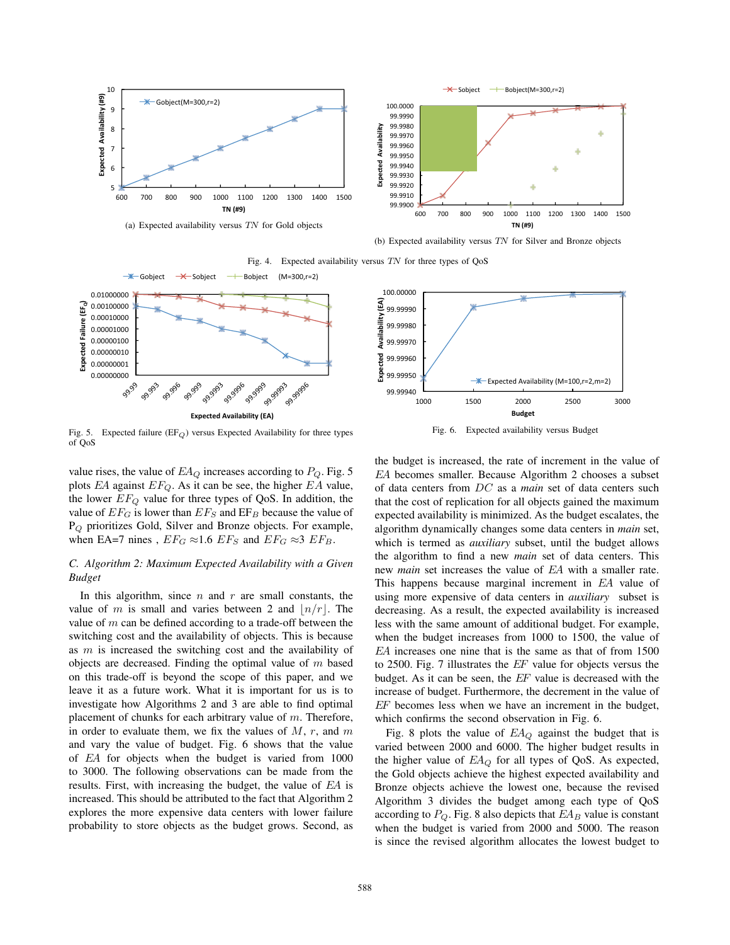

Fig. 4. Expected availability versus TN for three types of QoS



Fig. 5. Expected failure (EF $_Q$ ) versus Expected Availability for three types of QoS

value rises, the value of EA*<sup>Q</sup>* increases according to P*Q*. Fig. 5 plots EA against EF*Q*. As it can be see, the higher EA value, the lower EF*<sup>Q</sup>* value for three types of QoS. In addition, the value of  $EF_G$  is lower than  $EF_S$  and  $EF_B$  because the value of P*<sup>Q</sup>* prioritizes Gold, Silver and Bronze objects. For example, when EA=7 nines ,  $EF_G \approx 1.6 EF_S$  and  $EF_G \approx 3 EF_B$ .

# *C. Algorithm 2: Maximum Expected Availability with a Given Budget*

In this algorithm, since  $n$  and  $r$  are small constants, the value of m is small and varies between 2 and  $\lfloor n/r \rfloor$ . The value of  $m$  can be defined according to a trade-off between the switching cost and the availability of objects. This is because as  $m$  is increased the switching cost and the availability of objects are decreased. Finding the optimal value of  $m$  based on this trade-off is beyond the scope of this paper, and we leave it as a future work. What it is important for us is to investigate how Algorithms 2 and 3 are able to find optimal placement of chunks for each arbitrary value of  $m$ . Therefore, in order to evaluate them, we fix the values of  $M$ ,  $r$ , and  $m$ and vary the value of budget. Fig. 6 shows that the value of EA for objects when the budget is varied from 1000 to 3000. The following observations can be made from the results. First, with increasing the budget, the value of EA is increased. This should be attributed to the fact that Algorithm 2 explores the more expensive data centers with lower failure probability to store objects as the budget grows. Second, as



Fig. 6. Expected availability versus Budget

the budget is increased, the rate of increment in the value of EA becomes smaller. Because Algorithm 2 chooses a subset of data centers from DC as a *main* set of data centers such that the cost of replication for all objects gained the maximum expected availability is minimized. As the budget escalates, the algorithm dynamically changes some data centers in *main* set, which is termed as *auxiliary* subset, until the budget allows the algorithm to find a new *main* set of data centers. This new *main* set increases the value of EA with a smaller rate. This happens because marginal increment in EA value of using more expensive of data centers in *auxiliary* subset is decreasing. As a result, the expected availability is increased less with the same amount of additional budget. For example, when the budget increases from 1000 to 1500, the value of EA increases one nine that is the same as that of from 1500 to 2500. Fig. 7 illustrates the EF value for objects versus the budget. As it can be seen, the EF value is decreased with the increase of budget. Furthermore, the decrement in the value of EF becomes less when we have an increment in the budget, which confirms the second observation in Fig. 6.

Fig. 8 plots the value of EA*<sup>Q</sup>* against the budget that is varied between 2000 and 6000. The higher budget results in the higher value of EA*<sup>Q</sup>* for all types of QoS. As expected, the Gold objects achieve the highest expected availability and Bronze objects achieve the lowest one, because the revised Algorithm 3 divides the budget among each type of QoS according to  $P_Q$ . Fig. 8 also depicts that  $EA_B$  value is constant when the budget is varied from 2000 and 5000. The reason is since the revised algorithm allocates the lowest budget to